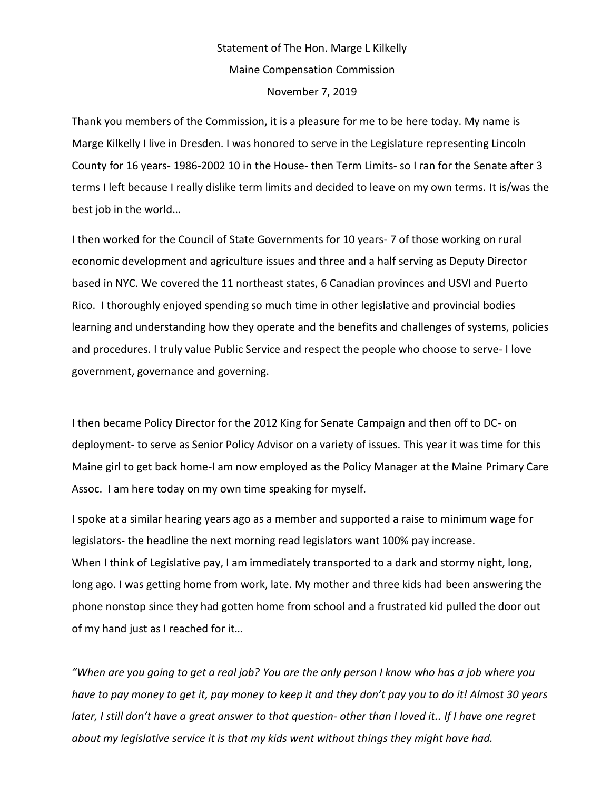## Statement of The Hon. Marge L Kilkelly Maine Compensation Commission November 7, 2019

Thank you members of the Commission, it is a pleasure for me to be here today. My name is Marge Kilkelly I live in Dresden. I was honored to serve in the Legislature representing Lincoln County for 16 years- 1986-2002 10 in the House- then Term Limits- so I ran for the Senate after 3 terms I left because I really dislike term limits and decided to leave on my own terms. It is/was the best job in the world…

I then worked for the Council of State Governments for 10 years- 7 of those working on rural economic development and agriculture issues and three and a half serving as Deputy Director based in NYC. We covered the 11 northeast states, 6 Canadian provinces and USVI and Puerto Rico. I thoroughly enjoyed spending so much time in other legislative and provincial bodies learning and understanding how they operate and the benefits and challenges of systems, policies and procedures. I truly value Public Service and respect the people who choose to serve- I love government, governance and governing.

I then became Policy Director for the 2012 King for Senate Campaign and then off to DC- on deployment- to serve as Senior Policy Advisor on a variety of issues. This year it was time for this Maine girl to get back home-I am now employed as the Policy Manager at the Maine Primary Care Assoc. I am here today on my own time speaking for myself.

I spoke at a similar hearing years ago as a member and supported a raise to minimum wage for legislators- the headline the next morning read legislators want 100% pay increase. When I think of Legislative pay, I am immediately transported to a dark and stormy night, long, long ago. I was getting home from work, late. My mother and three kids had been answering the phone nonstop since they had gotten home from school and a frustrated kid pulled the door out of my hand just as I reached for it…

*"When are you going to get a real job? You are the only person I know who has a job where you have to pay money to get it, pay money to keep it and they don't pay you to do it! Almost 30 years later, I still don't have a great answer to that question- other than I loved it.. If I have one regret about my legislative service it is that my kids went without things they might have had.*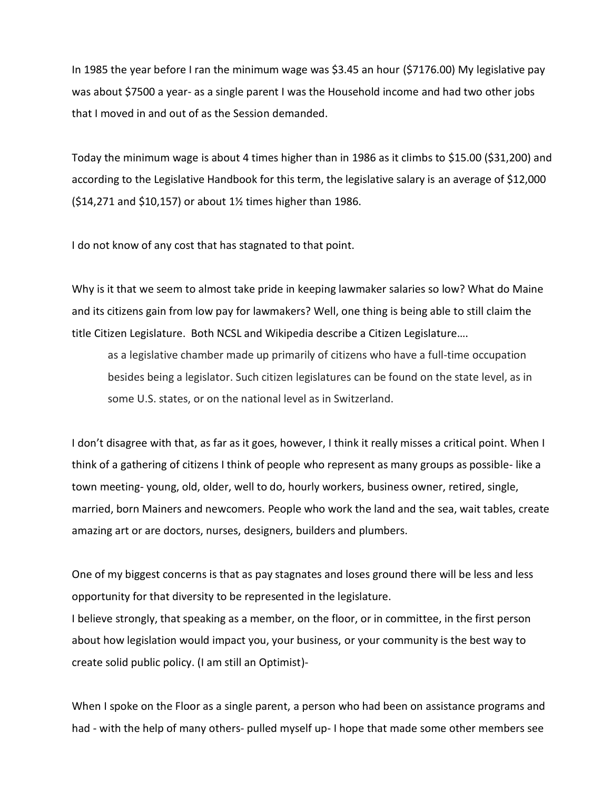In 1985 the year before I ran the minimum wage was \$3.45 an hour (\$7176.00) My legislative pay was about \$7500 a year- as a single parent I was the Household income and had two other jobs that I moved in and out of as the Session demanded.

Today the minimum wage is about 4 times higher than in 1986 as it climbs to \$15.00 (\$31,200) and according to the Legislative Handbook for this term, the legislative salary is an average of \$12,000 (\$14,271 and \$10,157) or about 1½ times higher than 1986.

I do not know of any cost that has stagnated to that point.

Why is it that we seem to almost take pride in keeping lawmaker salaries so low? What do Maine and its citizens gain from low pay for lawmakers? Well, one thing is being able to still claim the title Citizen Legislature. Both NCSL and Wikipedia describe a Citizen Legislature….

as a legislative chamber made up primarily of citizens who have a full-time occupation besides being a legislator. Such citizen legislatures can be found on the state level, as in some U.S. states, or on the national level as in Switzerland.

I don't disagree with that, as far as it goes, however, I think it really misses a critical point. When I think of a gathering of citizens I think of people who represent as many groups as possible- like a town meeting- young, old, older, well to do, hourly workers, business owner, retired, single, married, born Mainers and newcomers. People who work the land and the sea, wait tables, create amazing art or are doctors, nurses, designers, builders and plumbers.

One of my biggest concerns is that as pay stagnates and loses ground there will be less and less opportunity for that diversity to be represented in the legislature.

I believe strongly, that speaking as a member, on the floor, or in committee, in the first person about how legislation would impact you, your business, or your community is the best way to create solid public policy. (I am still an Optimist)-

When I spoke on the Floor as a single parent, a person who had been on assistance programs and had - with the help of many others- pulled myself up- I hope that made some other members see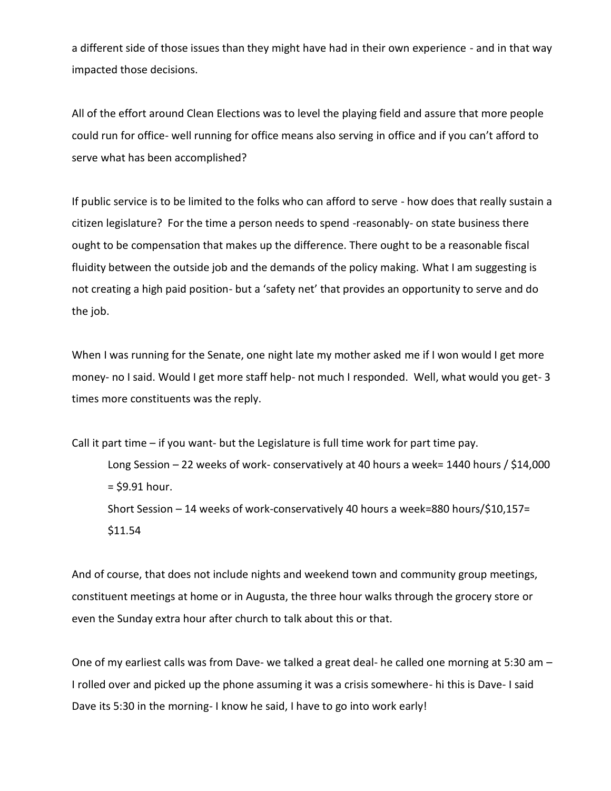a different side of those issues than they might have had in their own experience - and in that way impacted those decisions.

All of the effort around Clean Elections was to level the playing field and assure that more people could run for office- well running for office means also serving in office and if you can't afford to serve what has been accomplished?

If public service is to be limited to the folks who can afford to serve - how does that really sustain a citizen legislature? For the time a person needs to spend -reasonably- on state business there ought to be compensation that makes up the difference. There ought to be a reasonable fiscal fluidity between the outside job and the demands of the policy making. What I am suggesting is not creating a high paid position- but a 'safety net' that provides an opportunity to serve and do the job.

When I was running for the Senate, one night late my mother asked me if I won would I get more money- no I said. Would I get more staff help- not much I responded. Well, what would you get- 3 times more constituents was the reply.

Call it part time – if you want- but the Legislature is full time work for part time pay. Long Session – 22 weeks of work- conservatively at 40 hours a week= 1440 hours / \$14,000  $=$  \$9.91 hour. Short Session – 14 weeks of work-conservatively 40 hours a week=880 hours/\$10,157= \$11.54

And of course, that does not include nights and weekend town and community group meetings, constituent meetings at home or in Augusta, the three hour walks through the grocery store or even the Sunday extra hour after church to talk about this or that.

One of my earliest calls was from Dave- we talked a great deal- he called one morning at 5:30 am – I rolled over and picked up the phone assuming it was a crisis somewhere- hi this is Dave- I said Dave its 5:30 in the morning- I know he said, I have to go into work early!